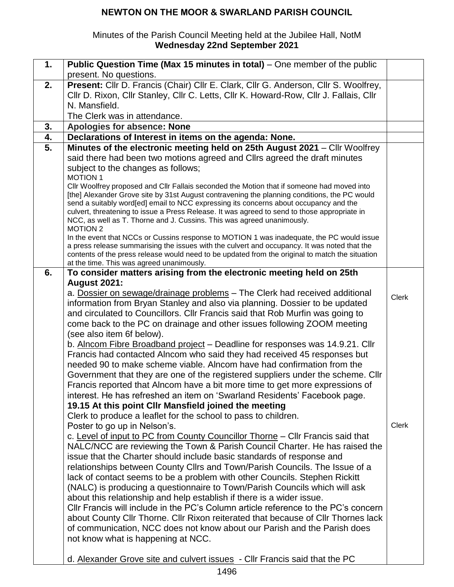#### Minutes of the Parish Council Meeting held at the Jubilee Hall, NotM **Wednesday 22nd September 2021**

| 1. | Public Question Time (Max 15 minutes in total) – One member of the public                                                                                 |              |
|----|-----------------------------------------------------------------------------------------------------------------------------------------------------------|--------------|
|    | present. No questions.                                                                                                                                    |              |
| 2. | Present: Cllr D. Francis (Chair) Cllr E. Clark, Cllr G. Anderson, Cllr S. Woolfrey,                                                                       |              |
|    | Cllr D. Rixon, Cllr Stanley, Cllr C. Letts, Cllr K. Howard-Row, Cllr J. Fallais, Cllr                                                                     |              |
|    | N. Mansfield.                                                                                                                                             |              |
|    | The Clerk was in attendance.                                                                                                                              |              |
| 3. | Apologies for absence: None                                                                                                                               |              |
| 4. | Declarations of Interest in items on the agenda: None.                                                                                                    |              |
| 5. | Minutes of the electronic meeting held on 25th August 2021 - Cllr Woolfrey                                                                                |              |
|    | said there had been two motions agreed and Cllrs agreed the draft minutes                                                                                 |              |
|    | subject to the changes as follows;<br><b>MOTION 1</b>                                                                                                     |              |
|    | CIIr Woolfrey proposed and CIIr Fallais seconded the Motion that if someone had moved into                                                                |              |
|    | [the] Alexander Grove site by 31st August contravening the planning conditions, the PC would                                                              |              |
|    | send a suitably word[ed] email to NCC expressing its concerns about occupancy and the                                                                     |              |
|    | culvert, threatening to issue a Press Release. It was agreed to send to those appropriate in                                                              |              |
|    | NCC, as well as T. Thorne and J. Cussins. This was agreed unanimously.<br><b>MOTION 2</b>                                                                 |              |
|    | In the event that NCCs or Cussins response to MOTION 1 was inadequate, the PC would issue                                                                 |              |
|    | a press release summarising the issues with the culvert and occupancy. It was noted that the                                                              |              |
|    | contents of the press release would need to be updated from the original to match the situation                                                           |              |
|    | at the time. This was agreed unanimously.                                                                                                                 |              |
| 6. | To consider matters arising from the electronic meeting held on 25th                                                                                      |              |
|    | <b>August 2021:</b>                                                                                                                                       |              |
|    | a. Dossier on sewage/drainage problems - The Clerk had received additional<br>information from Bryan Stanley and also via planning. Dossier to be updated | <b>Clerk</b> |
|    | and circulated to Councillors. Cllr Francis said that Rob Murfin was going to                                                                             |              |
|    | come back to the PC on drainage and other issues following ZOOM meeting                                                                                   |              |
|    | (see also item 6f below).                                                                                                                                 |              |
|    | b. Alncom Fibre Broadband project – Deadline for responses was 14.9.21. Cllr                                                                              |              |
|    | Francis had contacted Alncom who said they had received 45 responses but                                                                                  |              |
|    | needed 90 to make scheme viable. Alncom have had confirmation from the                                                                                    |              |
|    | Government that they are one of the registered suppliers under the scheme. Clir                                                                           |              |
|    | Francis reported that Alncom have a bit more time to get more expressions of                                                                              |              |
|    | interest. He has refreshed an item on 'Swarland Residents' Facebook page.                                                                                 |              |
|    | 19.15 At this point CIIr Mansfield joined the meeting                                                                                                     |              |
|    | Clerk to produce a leaflet for the school to pass to children.                                                                                            |              |
|    | Poster to go up in Nelson's.                                                                                                                              | <b>Clerk</b> |
|    | c. Level of input to PC from County Councillor Thorne - Cllr Francis said that                                                                            |              |
|    | NALC/NCC are reviewing the Town & Parish Council Charter. He has raised the                                                                               |              |
|    | issue that the Charter should include basic standards of response and                                                                                     |              |
|    | relationships between County Cllrs and Town/Parish Councils. The Issue of a                                                                               |              |
|    | lack of contact seems to be a problem with other Councils. Stephen Rickitt                                                                                |              |
|    | (NALC) is producing a questionnaire to Town/Parish Councils which will ask                                                                                |              |
|    | about this relationship and help establish if there is a wider issue.                                                                                     |              |
|    | CIIr Francis will include in the PC's Column article reference to the PC's concern                                                                        |              |
|    | about County Cllr Thorne. Cllr Rixon reiterated that because of Cllr Thornes lack                                                                         |              |
|    | of communication, NCC does not know about our Parish and the Parish does                                                                                  |              |
|    | not know what is happening at NCC.                                                                                                                        |              |
|    |                                                                                                                                                           |              |
|    | d. Alexander Grove site and culvert issues - CIIr Francis said that the PC                                                                                |              |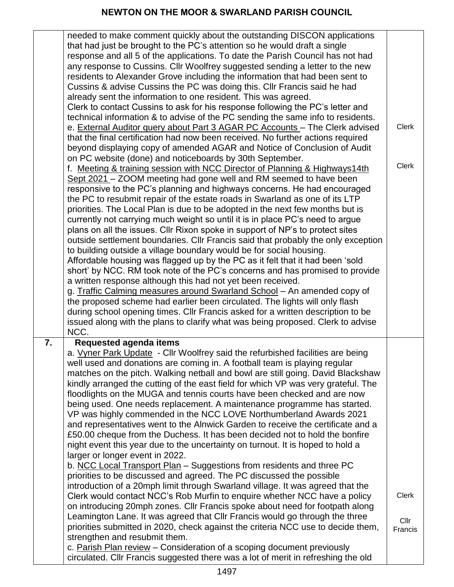|    | needed to make comment quickly about the outstanding DISCON applications                                                                                        |              |
|----|-----------------------------------------------------------------------------------------------------------------------------------------------------------------|--------------|
|    | that had just be brought to the PC's attention so he would draft a single                                                                                       |              |
|    | response and all 5 of the applications. To date the Parish Council has not had                                                                                  |              |
|    | any response to Cussins. Cllr Woolfrey suggested sending a letter to the new                                                                                    |              |
|    | residents to Alexander Grove including the information that had been sent to                                                                                    |              |
|    | Cussins & advise Cussins the PC was doing this. Cllr Francis said he had                                                                                        |              |
|    | already sent the information to one resident. This was agreed.                                                                                                  |              |
|    | Clerk to contact Cussins to ask for his response following the PC's letter and                                                                                  |              |
|    | technical information & to advise of the PC sending the same info to residents.                                                                                 |              |
|    | e. External Auditor query about Part 3 AGAR PC Accounts - The Clerk advised                                                                                     | <b>Clerk</b> |
|    | that the final certification had now been received. No further actions required                                                                                 |              |
|    | beyond displaying copy of amended AGAR and Notice of Conclusion of Audit                                                                                        |              |
|    | on PC website (done) and noticeboards by 30th September.                                                                                                        | <b>Clerk</b> |
|    | f. Meeting & training session with NCC Director of Planning & Highways14th                                                                                      |              |
|    | Sept 2021 - ZOOM meeting had gone well and RM seemed to have been                                                                                               |              |
|    | responsive to the PC's planning and highways concerns. He had encouraged                                                                                        |              |
|    | the PC to resubmit repair of the estate roads in Swarland as one of its LTP                                                                                     |              |
|    | priorities. The Local Plan is due to be adopted in the next few months but is<br>currently not carrying much weight so until it is in place PC's need to argue  |              |
|    | plans on all the issues. Cllr Rixon spoke in support of NP's to protect sites                                                                                   |              |
|    | outside settlement boundaries. Cllr Francis said that probably the only exception                                                                               |              |
|    | to building outside a village boundary would be for social housing.                                                                                             |              |
|    | Affordable housing was flagged up by the PC as it felt that it had been 'sold                                                                                   |              |
|    | short' by NCC. RM took note of the PC's concerns and has promised to provide                                                                                    |              |
|    | a written response although this had not yet been received.                                                                                                     |              |
|    | g. Traffic Calming measures around Swarland School - An amended copy of                                                                                         |              |
|    | the proposed scheme had earlier been circulated. The lights will only flash                                                                                     |              |
|    | during school opening times. Cllr Francis asked for a written description to be                                                                                 |              |
|    | issued along with the plans to clarify what was being proposed. Clerk to advise                                                                                 |              |
|    | NCC.                                                                                                                                                            |              |
| 7. | <b>Requested agenda items</b>                                                                                                                                   |              |
|    | a. Vyner Park Update - Cllr Woolfrey said the refurbished facilities are being                                                                                  |              |
|    | well used and donations are coming in. A football team is playing regular                                                                                       |              |
|    | matches on the pitch. Walking netball and bowl are still going. David Blackshaw                                                                                 |              |
|    | kindly arranged the cutting of the east field for which VP was very grateful. The                                                                               |              |
|    | floodlights on the MUGA and tennis courts have been checked and are now                                                                                         |              |
|    | being used. One needs replacement. A maintenance programme has started.                                                                                         |              |
|    | VP was highly commended in the NCC LOVE Northumberland Awards 2021                                                                                              |              |
|    | and representatives went to the Alnwick Garden to receive the certificate and a                                                                                 |              |
|    | £50.00 cheque from the Duchess. It has been decided not to hold the bonfire                                                                                     |              |
|    | night event this year due to the uncertainty on turnout. It is hoped to hold a                                                                                  |              |
|    | larger or longer event in 2022.                                                                                                                                 |              |
|    | b. NCC Local Transport Plan - Suggestions from residents and three PC                                                                                           |              |
|    | priorities to be discussed and agreed. The PC discussed the possible                                                                                            |              |
|    | introduction of a 20mph limit through Swarland village. It was agreed that the                                                                                  | <b>Clerk</b> |
|    | Clerk would contact NCC's Rob Murfin to enquire whether NCC have a policy                                                                                       |              |
|    | on introducing 20mph zones. Cllr Francis spoke about need for footpath along                                                                                    |              |
|    | Leamington Lane. It was agreed that Cllr Francis would go through the three<br>priorities submitted in 2020, check against the criteria NCC use to decide them, | Cllr         |
|    | strengthen and resubmit them.                                                                                                                                   | Francis      |
|    | c. Parish Plan review - Consideration of a scoping document previously                                                                                          |              |
|    | circulated. Cllr Francis suggested there was a lot of merit in refreshing the old                                                                               |              |
|    |                                                                                                                                                                 |              |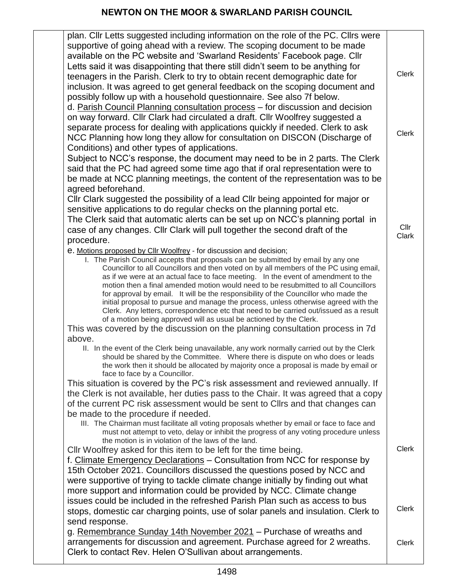| plan. Cllr Letts suggested including information on the role of the PC. Cllrs were                                                                                           |              |
|------------------------------------------------------------------------------------------------------------------------------------------------------------------------------|--------------|
| supportive of going ahead with a review. The scoping document to be made                                                                                                     |              |
| available on the PC website and 'Swarland Residents' Facebook page. Cllr                                                                                                     |              |
| Letts said it was disappointing that there still didn't seem to be anything for                                                                                              |              |
| teenagers in the Parish. Clerk to try to obtain recent demographic date for                                                                                                  | <b>Clerk</b> |
| inclusion. It was agreed to get general feedback on the scoping document and                                                                                                 |              |
| possibly follow up with a household questionnaire. See also 7f below.                                                                                                        |              |
| d. Parish Council Planning consultation process - for discussion and decision                                                                                                |              |
| on way forward. Cllr Clark had circulated a draft. Cllr Woolfrey suggested a                                                                                                 |              |
| separate process for dealing with applications quickly if needed. Clerk to ask                                                                                               |              |
| NCC Planning how long they allow for consultation on DISCON (Discharge of                                                                                                    | <b>Clerk</b> |
| Conditions) and other types of applications.                                                                                                                                 |              |
| Subject to NCC's response, the document may need to be in 2 parts. The Clerk                                                                                                 |              |
| said that the PC had agreed some time ago that if oral representation were to                                                                                                |              |
| be made at NCC planning meetings, the content of the representation was to be                                                                                                |              |
| agreed beforehand.                                                                                                                                                           |              |
| Cllr Clark suggested the possibility of a lead Cllr being appointed for major or                                                                                             |              |
| sensitive applications to do regular checks on the planning portal etc.                                                                                                      |              |
| The Clerk said that automatic alerts can be set up on NCC's planning portal in                                                                                               | Cllr         |
| case of any changes. Cllr Clark will pull together the second draft of the                                                                                                   | Clark        |
| procedure.                                                                                                                                                                   |              |
| e. Motions proposed by Cllr Woolfrey - for discussion and decision;                                                                                                          |              |
| I. The Parish Council accepts that proposals can be submitted by email by any one<br>Councillor to all Councillors and then voted on by all members of the PC using email,   |              |
| as if we were at an actual face to face meeting. In the event of amendment to the                                                                                            |              |
| motion then a final amended motion would need to be resubmitted to all Councillors                                                                                           |              |
| for approval by email. It will be the responsibility of the Councillor who made the                                                                                          |              |
| initial proposal to pursue and manage the process, unless otherwise agreed with the<br>Clerk. Any letters, correspondence etc that need to be carried out/issued as a result |              |
| of a motion being approved will as usual be actioned by the Clerk.                                                                                                           |              |
| This was covered by the discussion on the planning consultation process in 7d.                                                                                               |              |
| above.                                                                                                                                                                       |              |
| II. In the event of the Clerk being unavailable, any work normally carried out by the Clerk                                                                                  |              |
| should be shared by the Committee. Where there is dispute on who does or leads<br>the work then it should be allocated by majority once a proposal is made by email or       |              |
| face to face by a Councillor.                                                                                                                                                |              |
| This situation is covered by the PC's risk assessment and reviewed annually. If                                                                                              |              |
| the Clerk is not available, her duties pass to the Chair. It was agreed that a copy                                                                                          |              |
| of the current PC risk assessment would be sent to Clirs and that changes can                                                                                                |              |
| be made to the procedure if needed.                                                                                                                                          |              |
| III. The Chairman must facilitate all voting proposals whether by email or face to face and                                                                                  |              |
| must not attempt to veto, delay or inhibit the progress of any voting procedure unless<br>the motion is in violation of the laws of the land.                                |              |
| CIIr Woolfrey asked for this item to be left for the time being.                                                                                                             | <b>Clerk</b> |
| f. Climate Emergency Declarations - Consultation from NCC for response by                                                                                                    |              |
| 15th October 2021. Councillors discussed the questions posed by NCC and                                                                                                      |              |
| were supportive of trying to tackle climate change initially by finding out what                                                                                             |              |
| more support and information could be provided by NCC. Climate change                                                                                                        |              |
| issues could be included in the refreshed Parish Plan such as access to bus                                                                                                  |              |
| stops, domestic car charging points, use of solar panels and insulation. Clerk to                                                                                            | <b>Clerk</b> |
| send response.                                                                                                                                                               |              |
| g. Remembrance Sunday 14th November 2021 - Purchase of wreaths and                                                                                                           |              |
| arrangements for discussion and agreement. Purchase agreed for 2 wreaths.                                                                                                    | <b>Clerk</b> |
| Clerk to contact Rev. Helen O'Sullivan about arrangements.                                                                                                                   |              |
|                                                                                                                                                                              |              |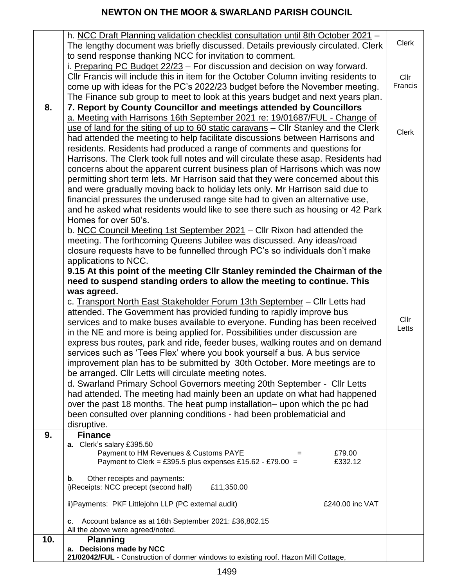|     | h. NCC Draft Planning validation checklist consultation until 8th October 2021 -<br>The lengthy document was briefly discussed. Details previously circulated. Clerk | <b>Clerk</b>  |
|-----|----------------------------------------------------------------------------------------------------------------------------------------------------------------------|---------------|
|     | to send response thanking NCC for invitation to comment.<br>i. Preparing PC Budget 22/23 - For discussion and decision on way forward.                               |               |
|     | CIIr Francis will include this in item for the October Column inviting residents to                                                                                  | Cllr          |
|     | come up with ideas for the PC's 2022/23 budget before the November meeting.                                                                                          | Francis       |
|     | The Finance sub group to meet to look at this years budget and next years plan.                                                                                      |               |
| 8.  | 7. Report by County Councillor and meetings attended by Councillors                                                                                                  |               |
|     | a. Meeting with Harrisons 16th September 2021 re: 19/01687/FUL - Change of<br>use of land for the siting of up to 60 static caravans - Cllr Stanley and the Clerk    |               |
|     | had attended the meeting to help facilitate discussions between Harrisons and                                                                                        | <b>Clerk</b>  |
|     | residents. Residents had produced a range of comments and questions for                                                                                              |               |
|     | Harrisons. The Clerk took full notes and will circulate these asap. Residents had                                                                                    |               |
|     | concerns about the apparent current business plan of Harrisons which was now                                                                                         |               |
|     | permitting short term lets. Mr Harrison said that they were concerned about this                                                                                     |               |
|     | and were gradually moving back to holiday lets only. Mr Harrison said due to                                                                                         |               |
|     | financial pressures the underused range site had to given an alternative use,<br>and he asked what residents would like to see there such as housing or 42 Park      |               |
|     | Homes for over 50's.                                                                                                                                                 |               |
|     | b. NCC Council Meeting 1st September 2021 - Cllr Rixon had attended the                                                                                              |               |
|     | meeting. The forthcoming Queens Jubilee was discussed. Any ideas/road                                                                                                |               |
|     | closure requests have to be funnelled through PC's so individuals don't make                                                                                         |               |
|     | applications to NCC.                                                                                                                                                 |               |
|     | 9.15 At this point of the meeting CIIr Stanley reminded the Chairman of the<br>need to suspend standing orders to allow the meeting to continue. This                |               |
|     | was agreed.                                                                                                                                                          |               |
|     | c. Transport North East Stakeholder Forum 13th September - Cllr Letts had                                                                                            |               |
|     | attended. The Government has provided funding to rapidly improve bus                                                                                                 |               |
|     | services and to make buses available to everyone. Funding has been received                                                                                          | Cllr<br>Letts |
|     | in the NE and more is being applied for. Possibilities under discussion are                                                                                          |               |
|     | express bus routes, park and ride, feeder buses, walking routes and on demand<br>services such as 'Tees Flex' where you book yourself a bus. A bus service           |               |
|     | improvement plan has to be submitted by 30th October. More meetings are to                                                                                           |               |
|     | be arranged. Cllr Letts will circulate meeting notes.                                                                                                                |               |
|     | d. Swarland Primary School Governors meeting 20th September - Cllr Letts                                                                                             |               |
|     | had attended. The meeting had mainly been an update on what had happened                                                                                             |               |
|     | over the past 18 months. The heat pump installation– upon which the pc had                                                                                           |               |
|     | been consulted over planning conditions - had been problematicial and<br>disruptive.                                                                                 |               |
| 9.  | <b>Finance</b>                                                                                                                                                       |               |
|     | a. Clerk's salary £395.50                                                                                                                                            |               |
|     | Payment to HM Revenues & Customs PAYE<br>£79.00<br>Payment to Clerk = £395.5 plus expenses £15.62 - £79.00 =<br>£332.12                                              |               |
|     |                                                                                                                                                                      |               |
|     | Other receipts and payments:<br>$\mathbf b$ .                                                                                                                        |               |
|     | i)Receipts: NCC precept (second half)<br>£11,350.00                                                                                                                  |               |
|     | ii) Payments: PKF Littlejohn LLP (PC external audit)<br>£240.00 inc VAT                                                                                              |               |
|     | Account balance as at 16th September 2021: £36,802.15<br>С.                                                                                                          |               |
| 10. | All the above were agreed/noted.<br><b>Planning</b>                                                                                                                  |               |
|     | a. Decisions made by NCC                                                                                                                                             |               |
|     | 21/02042/FUL - Construction of dormer windows to existing roof. Hazon Mill Cottage,                                                                                  |               |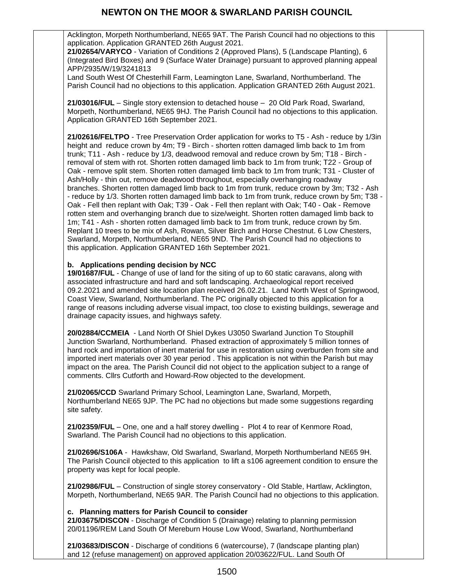Acklington, Morpeth Northumberland, NE65 9AT. The Parish Council had no objections to this application. Application GRANTED 26th August 2021.

**21/02654/VARYCO** - [Variation of Conditions 2 \(Approved Plans\), 5 \(Landscape Planting\), 6](https://publicaccess.northumberland.gov.uk/online-applications/applicationDetails.do?keyVal=QVIVBFQSHK200&activeTab=summary)  [\(Integrated Bird Boxes\) and 9 \(Surface Water Drainage\) pursuant to approved planning appeal](https://publicaccess.northumberland.gov.uk/online-applications/applicationDetails.do?keyVal=QVIVBFQSHK200&activeTab=summary)  [APP/2935/W/19/3241813](https://publicaccess.northumberland.gov.uk/online-applications/applicationDetails.do?keyVal=QVIVBFQSHK200&activeTab=summary)

Land South West Of Chesterhill Farm, Leamington Lane, Swarland, Northumberland. The Parish Council had no objections to this application. Application GRANTED 26th August 2021.

**21/03016/FUL** – Single story extension to detached house – 20 Old Park Road, Swarland, Morpeth, Northumberland, NE65 9HJ. The Parish Council had no objections to this application. Application GRANTED 16th September 2021.

**21/02616/FELTPO** - Tree Preservation Order application for works to T5 - Ash - reduce by 1/3in height and reduce crown by 4m; T9 - Birch - shorten rotten damaged limb back to 1m from trunk; T11 - Ash - reduce by 1/3, deadwood removal and reduce crown by 5m; T18 - Birch removal of stem with rot. Shorten rotten damaged limb back to 1m from trunk; T22 - Group of Oak - remove split stem. Shorten rotten damaged limb back to 1m from trunk; T31 - Cluster of Ash/Holly - thin out, remove deadwood throughout, especially overhanging roadway branches. Shorten rotten damaged limb back to 1m from trunk, reduce crown by 3m; T32 - Ash - reduce by 1/3. Shorten rotten damaged limb back to 1m from trunk, reduce crown by 5m; T38 - Oak - Fell then replant with Oak; T39 - Oak - Fell then replant with Oak; T40 - Oak - Remove rotten stem and overhanging branch due to size/weight. Shorten rotten damaged limb back to 1m; T41 - Ash - shorten rotten damaged limb back to 1m from trunk, reduce crown by 5m. Replant 10 trees to be mix of Ash, Rowan, Silver Birch and Horse Chestnut. 6 Low Chesters, Swarland, Morpeth, Northumberland, NE65 9ND. The Parish Council had no objections to this application. Application GRANTED 16th September 2021.

#### **b. Applications pending decision by NCC**

**19/01687/FUL** - [Change of use of land for the siting of up to 60 static caravans, along with](https://publicaccess.northumberland.gov.uk/online-applications/applicationDetails.do?keyVal=PS0KJVQSGAM00&activeTab=summary)  [associated infrastructure and hard and soft landscaping. Archaeological report received](https://publicaccess.northumberland.gov.uk/online-applications/applicationDetails.do?keyVal=PS0KJVQSGAM00&activeTab=summary)  [09.2.2021 and amended site location plan received 26.02.21. Land North West of Springwood,](https://publicaccess.northumberland.gov.uk/online-applications/applicationDetails.do?keyVal=PS0KJVQSGAM00&activeTab=summary)  [Coast View, Swarland, Northumberland.](https://publicaccess.northumberland.gov.uk/online-applications/applicationDetails.do?keyVal=PS0KJVQSGAM00&activeTab=summary) The PC originally objected to this application for a range of reasons including adverse visual impact, too close to existing buildings, sewerage and drainage capacity issues, and highways safety.

**20/02884/CCMEIA** - Land North Of Shiel Dykes U3050 Swarland Junction To Stouphill Junction Swarland, Northumberland. [Phased extraction of approximately 5 million tonnes of](https://publicaccess.northumberland.gov.uk/online-applications/applicationDetails.do?keyVal=QG2VL9QS0K500&activeTab=summary)  [hard rock and importation of inert material for use in restoration using overburden from site and](https://publicaccess.northumberland.gov.uk/online-applications/applicationDetails.do?keyVal=QG2VL9QS0K500&activeTab=summary)  [imported inert materials over 30 year period](https://publicaccess.northumberland.gov.uk/online-applications/applicationDetails.do?keyVal=QG2VL9QS0K500&activeTab=summary) . This application is not within the Parish but may impact on the area. The Parish Council did not object to the application subject to a range of comments. Cllrs Cutforth and Howard-Row objected to the development.

**21/02065/CCD** Swarland Primary School, Leamington Lane, Swarland, Morpeth, Northumberland NE65 9JP. The PC had no objections but made some suggestions regarding site safety.

**21/02359/FUL** – One, one and a half storey dwelling - Plot 4 to rear of Kenmore Road, Swarland. The Parish Council had no objections to this application.

**21/02696/S106A** - Hawkshaw, Old Swarland, Swarland, Morpeth Northumberland NE65 9H. The Parish Council objected to this application to lift a s106 agreement condition to ensure the property was kept for local people.

**21/02986/FUL** – Construction of single storey conservatory - Old Stable, Hartlaw, Acklington, Morpeth, Northumberland, NE65 9AR. The Parish Council had no objections to this application.

#### **c. Planning matters for Parish Council to consider**

**21/03675/DISCON** - Discharge of Condition 5 (Drainage) relating to planning permission 20/01196/REM Land South Of Mereburn House Low Wood, Swarland, Northumberland

**21/03683/DISCON** - Discharge of conditions 6 (watercourse), 7 (landscape planting plan) and 12 (refuse management) on approved application 20/03622/FUL. Land South Of